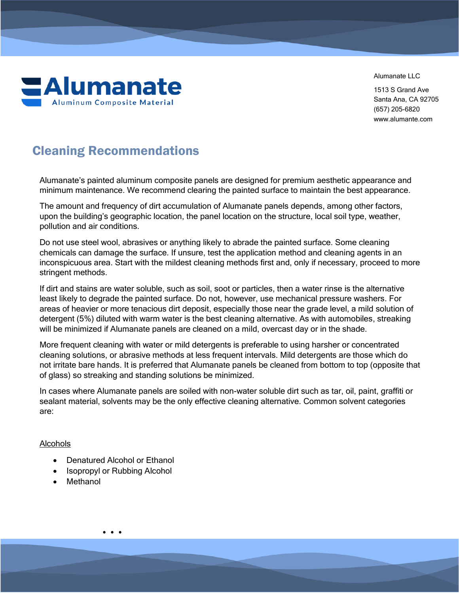**EAlumanate Aluminum Composite Material** 

Alumanate IIC

1513 S Grand Ave Santa Ana, CA 92705 (657) 205-6820 www.alumante.com

# Cleaning Recommendations

Alumanate's painted aluminum composite panels are designed for premium aesthetic appearance and minimum maintenance. We recommend clearing the painted surface to maintain the best appearance.

The amount and frequency of dirt accumulation of Alumanate panels depends, among other factors, upon the building's geographic location, the panel location on the structure, local soil type, weather, pollution and air conditions.

Do not use steel wool, abrasives or anything likely to abrade the painted surface. Some cleaning chemicals can damage the surface. If unsure, test the application method and cleaning agents in an inconspicuous area. Start with the mildest cleaning methods first and, only if necessary, proceed to more stringent methods.

If dirt and stains are water soluble, such as soil, soot or particles, then a water rinse is the alternative least likely to degrade the painted surface. Do not, however, use mechanical pressure washers. For areas of heavier or more tenacious dirt deposit, especially those near the grade level, a mild solution of detergent (5%) diluted with warm water is the best cleaning alternative. As with automobiles, streaking will be minimized if Alumanate panels are cleaned on a mild, overcast day or in the shade.

More frequent cleaning with water or mild detergents is preferable to using harsher or concentrated cleaning solutions, or abrasive methods at less frequent intervals. Mild detergents are those which do not irritate bare hands. It is preferred that Alumanate panels be cleaned from bottom to top (opposite that of glass) so streaking and standing solutions be minimized.

In cases where Alumanate panels are soiled with non-water soluble dirt such as tar, oil, paint, graffiti or sealant material, solvents may be the only effective cleaning alternative. Common solvent categories are:

# Alcohols

- Denatured Alcohol or Ethanol
- Isopropyl or Rubbing Alcohol
- Methanol

• • •